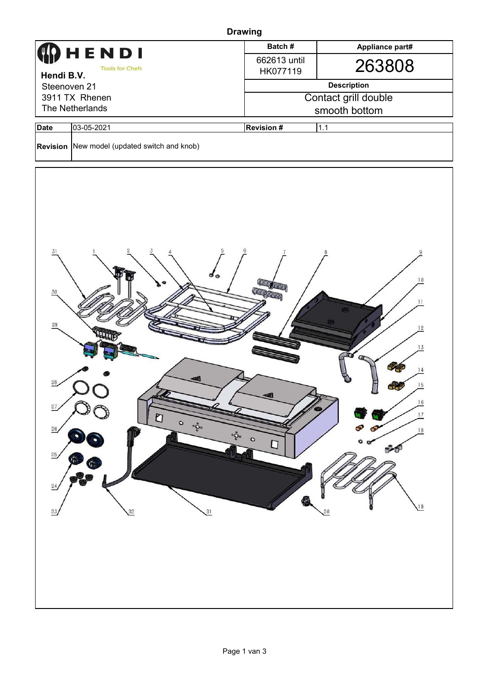| <b>Drawing</b>                                                                                                                                                                                                                                                                                                                                                                                                                                                  |                                              |                          |                 |  |  |  |  |  |
|-----------------------------------------------------------------------------------------------------------------------------------------------------------------------------------------------------------------------------------------------------------------------------------------------------------------------------------------------------------------------------------------------------------------------------------------------------------------|----------------------------------------------|--------------------------|-----------------|--|--|--|--|--|
|                                                                                                                                                                                                                                                                                                                                                                                                                                                                 | HENDI                                        | Batch#                   | Appliance part# |  |  |  |  |  |
| <b>Tools for Chefs</b>                                                                                                                                                                                                                                                                                                                                                                                                                                          |                                              | 662613 until<br>HK077119 | 263808          |  |  |  |  |  |
| Hendi B.V.<br>Steenoven 21                                                                                                                                                                                                                                                                                                                                                                                                                                      |                                              | <b>Description</b>       |                 |  |  |  |  |  |
| 3911 TX Rhenen                                                                                                                                                                                                                                                                                                                                                                                                                                                  |                                              | Contact grill double     |                 |  |  |  |  |  |
| The Netherlands                                                                                                                                                                                                                                                                                                                                                                                                                                                 |                                              | smooth bottom            |                 |  |  |  |  |  |
| <b>Date</b>                                                                                                                                                                                                                                                                                                                                                                                                                                                     | 03-05-2021                                   | 1.1<br><b>Revision #</b> |                 |  |  |  |  |  |
|                                                                                                                                                                                                                                                                                                                                                                                                                                                                 | Revision New model (updated switch and knob) |                          |                 |  |  |  |  |  |
| 31<br>10<br><b>CONTROLLED BY THE CONTROL</b><br><b>CONTINUES OF THE OWNER</b><br>30<br>11<br>29<br>12<br>13<br>28<br>15<br>$\frac{16}{1}$<br>$\frac{27}{2}$<br>$17\,$<br>$\begin{array}{c}\n\mathbf{C} \\ \mathbf{D}\n\end{array}$<br>$\circ$<br>$\circ_{\mathcal{O}^{\circ}}^{\mathcal{O}}$<br>26<br>18<br>$\circ \mathring{\mathcal{O}}\circ$<br>$\circ$<br>U<br>25<br>Ģ,<br>Ģ)<br>$\frac{24}{3}$<br>U <sup>9</sup><br>$\frac{22}{2}$<br>$\overline{a}$<br>23 |                                              |                          |                 |  |  |  |  |  |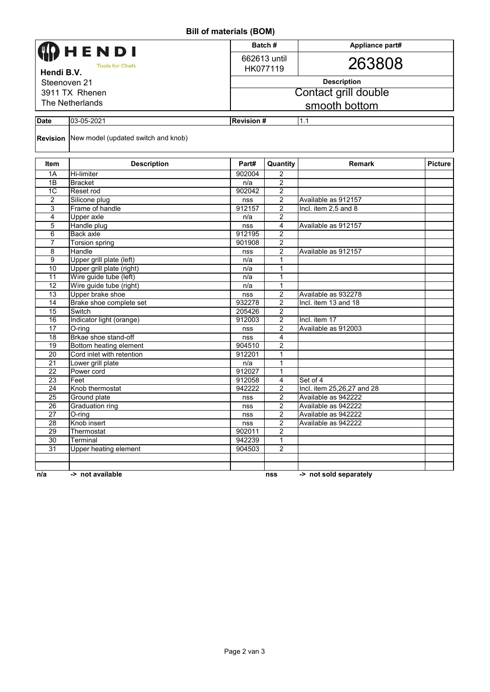## **Bill of materials (BOM)**

| $111$ of $111$ along $100$ $100$ |                                                     |                  |                      |                            |                |  |  |  |  |
|----------------------------------|-----------------------------------------------------|------------------|----------------------|----------------------------|----------------|--|--|--|--|
| HENDI                            |                                                     |                  | Batch#               | Appliance part#            |                |  |  |  |  |
|                                  |                                                     |                  | 662613 until         |                            |                |  |  |  |  |
| <b>Tools for Chefs</b>           |                                                     |                  | HK077119             | 263808                     |                |  |  |  |  |
| Hendi B.V.                       |                                                     |                  |                      |                            |                |  |  |  |  |
| Steenoven 21                     |                                                     |                  | <b>Description</b>   |                            |                |  |  |  |  |
| 3911 TX Rhenen                   |                                                     |                  | Contact grill double |                            |                |  |  |  |  |
| The Netherlands                  |                                                     |                  | smooth bottom        |                            |                |  |  |  |  |
|                                  |                                                     |                  |                      |                            |                |  |  |  |  |
| <b>Date</b>                      | 03-05-2021                                          | <b>Revision#</b> |                      | 1.1                        |                |  |  |  |  |
|                                  | <b>Revision</b> New model (updated switch and knob) |                  |                      |                            |                |  |  |  |  |
| Item                             | <b>Description</b>                                  | Part#            | Quantity             | <b>Remark</b>              | <b>Picture</b> |  |  |  |  |
| 1A                               | <b>Hi-limiter</b>                                   | 902004           | $\overline{2}$       |                            |                |  |  |  |  |
| 1B                               | <b>Bracket</b>                                      | n/a              | 2                    |                            |                |  |  |  |  |
| 1 <sup>C</sup>                   | Reset rod                                           | 902042           | 2                    |                            |                |  |  |  |  |
| $\overline{c}$                   | Silicone plug                                       | nss              | $\overline{c}$       | Available as 912157        |                |  |  |  |  |
| 3                                | Frame of handle                                     | 912157           | $\overline{2}$       | Incl. item 2,5 and 8       |                |  |  |  |  |
| 4                                | Upper axle                                          | n/a              | 2                    |                            |                |  |  |  |  |
| 5                                | Handle plug                                         | nss              | 4                    | Available as 912157        |                |  |  |  |  |
| 6                                | Back axle                                           | 912195           | $\overline{2}$       |                            |                |  |  |  |  |
| 7                                | Torsion spring                                      | 901908           | 2                    |                            |                |  |  |  |  |
| 8                                | Handle                                              | nss              | 2                    | Available as 912157        |                |  |  |  |  |
| 9                                | Upper grill plate (left)                            | n/a              | 1                    |                            |                |  |  |  |  |
| 10<br>$\overline{11}$            | Upper grill plate (right)<br>Wire guide tube (left) | n/a              | 1<br>1               |                            |                |  |  |  |  |
| 12                               | Wire guide tube (right)                             | n/a<br>n/a       | 1                    |                            |                |  |  |  |  |
| 13                               | Upper brake shoe                                    | nss              | $\overline{2}$       | Available as 932278        |                |  |  |  |  |
| 14                               | Brake shoe complete set                             | 932278           | $\overline{c}$       | Incl. item 13 and 18       |                |  |  |  |  |
| 15                               | Switch                                              | 205426           | $\overline{2}$       |                            |                |  |  |  |  |
| 16                               | Indicator light (orange)                            | 912003           | 2                    | Incl. item 17              |                |  |  |  |  |
| $\overline{17}$                  | O-ring                                              | nss              | $\overline{2}$       | Available as 912003        |                |  |  |  |  |
| 18                               | Brkae shoe stand-off                                | nss              | 4                    |                            |                |  |  |  |  |
| 19                               | Bottom heating element                              | 904510           | 2                    |                            |                |  |  |  |  |
| 20                               | Cord inlet with retention                           | 912201           | 1                    |                            |                |  |  |  |  |
| 21                               | Lower grill plate                                   | n/a              | 1                    |                            |                |  |  |  |  |
| 22                               | Power cord                                          | 912027           | 1                    |                            |                |  |  |  |  |
| 23                               | Feet                                                | 912058           | 4                    | Set of 4                   |                |  |  |  |  |
| $\overline{24}$                  | Knob thermostat                                     | 942222           | 2                    | Incl. item 25,26,27 and 28 |                |  |  |  |  |
| $\overline{25}$                  | Ground plate                                        | nss              | $\overline{2}$       | Available as 942222        |                |  |  |  |  |
| 26                               | Graduation ring                                     | nss              | $\overline{c}$       | Available as 942222        |                |  |  |  |  |
| 27                               | $O$ -ring                                           | nss              | $\overline{2}$       | Available as 942222        |                |  |  |  |  |
| 28                               | Knob insert                                         | nss              | $\overline{2}$       | Available as 942222        |                |  |  |  |  |
| 29                               | Thermostat                                          | 902011           | $\overline{2}$       |                            |                |  |  |  |  |
| 30                               | Terminal                                            | 942239           | $\mathbf{1}$         |                            |                |  |  |  |  |
| 31                               | <b>Upper heating element</b>                        | 904503           | $\overline{2}$       |                            |                |  |  |  |  |
|                                  |                                                     |                  |                      |                            |                |  |  |  |  |
|                                  |                                                     |                  |                      |                            |                |  |  |  |  |
| n/a                              | -> not available                                    |                  | nss                  | -> not sold separately     |                |  |  |  |  |